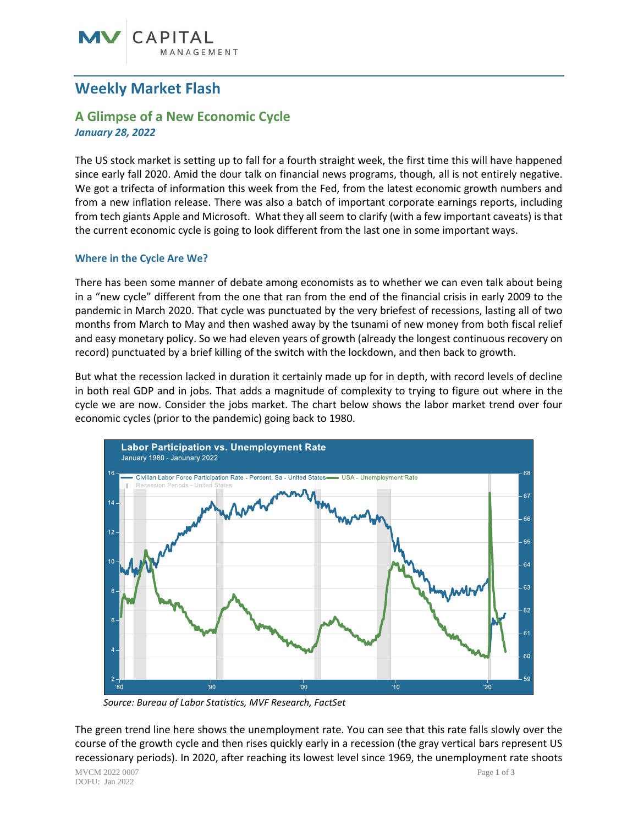# CAPITAL

# **Weekly Market Flash**

## **A Glimpse of a New Economic Cycle** *January 28, 2022*

The US stock market is setting up to fall for a fourth straight week, the first time this will have happened since early fall 2020. Amid the dour talk on financial news programs, though, all is not entirely negative. We got a trifecta of information this week from the Fed, from the latest economic growth numbers and from a new inflation release. There was also a batch of important corporate earnings reports, including from tech giants Apple and Microsoft. What they all seem to clarify (with a few important caveats) is that the current economic cycle is going to look different from the last one in some important ways.

### **Where in the Cycle Are We?**

There has been some manner of debate among economists as to whether we can even talk about being in a "new cycle" different from the one that ran from the end of the financial crisis in early 2009 to the pandemic in March 2020. That cycle was punctuated by the very briefest of recessions, lasting all of two months from March to May and then washed away by the tsunami of new money from both fiscal relief and easy monetary policy. So we had eleven years of growth (already the longest continuous recovery on record) punctuated by a brief killing of the switch with the lockdown, and then back to growth.

But what the recession lacked in duration it certainly made up for in depth, with record levels of decline in both real GDP and in jobs. That adds a magnitude of complexity to trying to figure out where in the cycle we are now. Consider the jobs market. The chart below shows the labor market trend over four economic cycles (prior to the pandemic) going back to 1980.



 *Source: Bureau of Labor Statistics, MVF Research, FactSet*

The green trend line here shows the unemployment rate. You can see that this rate falls slowly over the course of the growth cycle and then rises quickly early in a recession (the gray vertical bars represent US recessionary periods). In 2020, after reaching its lowest level since 1969, the unemployment rate shoots

MVCM 2022 0007 Page **1** of **3** DOFU: Jan 2022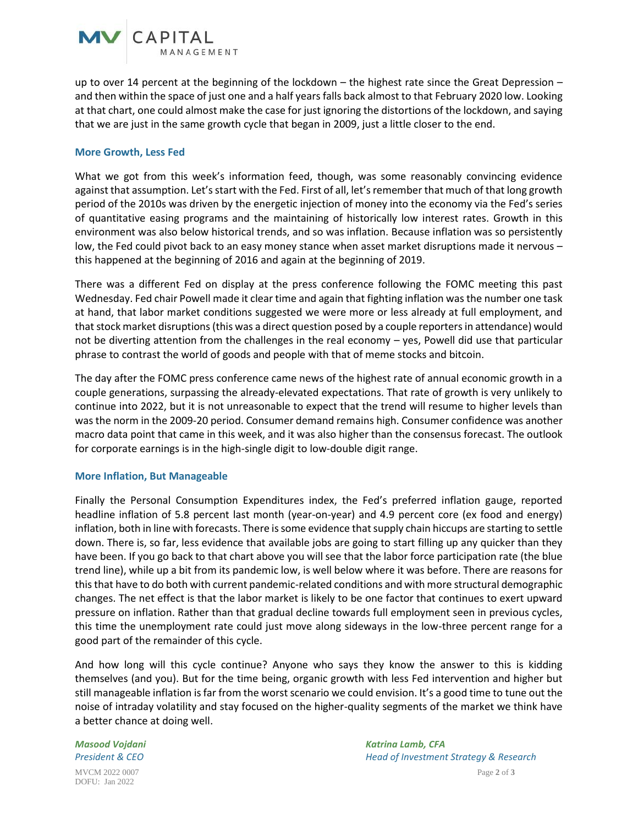

up to over 14 percent at the beginning of the lockdown – the highest rate since the Great Depression – and then within the space of just one and a half years falls back almost to that February 2020 low. Looking at that chart, one could almost make the case for just ignoring the distortions of the lockdown, and saying that we are just in the same growth cycle that began in 2009, just a little closer to the end.

#### **More Growth, Less Fed**

What we got from this week's information feed, though, was some reasonably convincing evidence against that assumption. Let's start with the Fed. First of all, let's remember that much of that long growth period of the 2010s was driven by the energetic injection of money into the economy via the Fed's series of quantitative easing programs and the maintaining of historically low interest rates. Growth in this environment was also below historical trends, and so was inflation. Because inflation was so persistently low, the Fed could pivot back to an easy money stance when asset market disruptions made it nervous – this happened at the beginning of 2016 and again at the beginning of 2019.

There was a different Fed on display at the press conference following the FOMC meeting this past Wednesday. Fed chair Powell made it clear time and again that fighting inflation was the number one task at hand, that labor market conditions suggested we were more or less already at full employment, and that stock market disruptions (this was a direct question posed by a couple reporters in attendance) would not be diverting attention from the challenges in the real economy – yes, Powell did use that particular phrase to contrast the world of goods and people with that of meme stocks and bitcoin.

The day after the FOMC press conference came news of the highest rate of annual economic growth in a couple generations, surpassing the already-elevated expectations. That rate of growth is very unlikely to continue into 2022, but it is not unreasonable to expect that the trend will resume to higher levels than was the norm in the 2009-20 period. Consumer demand remains high. Consumer confidence was another macro data point that came in this week, and it was also higher than the consensus forecast. The outlook for corporate earnings is in the high-single digit to low-double digit range.

#### **More Inflation, But Manageable**

Finally the Personal Consumption Expenditures index, the Fed's preferred inflation gauge, reported headline inflation of 5.8 percent last month (year-on-year) and 4.9 percent core (ex food and energy) inflation, both in line with forecasts. There is some evidence that supply chain hiccups are starting to settle down. There is, so far, less evidence that available jobs are going to start filling up any quicker than they have been. If you go back to that chart above you will see that the labor force participation rate (the blue trend line), while up a bit from its pandemic low, is well below where it was before. There are reasons for this that have to do both with current pandemic-related conditions and with more structural demographic changes. The net effect is that the labor market is likely to be one factor that continues to exert upward pressure on inflation. Rather than that gradual decline towards full employment seen in previous cycles, this time the unemployment rate could just move along sideways in the low-three percent range for a good part of the remainder of this cycle.

And how long will this cycle continue? Anyone who says they know the answer to this is kidding themselves (and you). But for the time being, organic growth with less Fed intervention and higher but still manageable inflation is far from the worst scenario we could envision. It's a good time to tune out the noise of intraday volatility and stay focused on the higher-quality segments of the market we think have a better chance at doing well.

MVCM 2022 0007 Page **2** of **3** *Masood Vojdani Katrina Lamb, CFA President & CEO Head of Investment Strategy & Research*

DOFU: Jan 2022